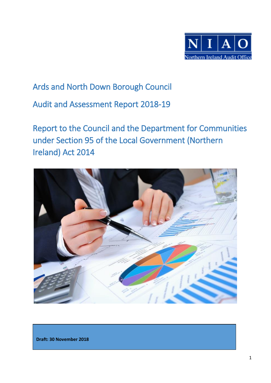

## Ards and North Down Borough Council

Audit and Assessment Report 2018-19

Report to the Council and the Department for Communities under Section 95 of the Local Government (Northern Ireland) Act 2014



**Draft: 30 November 2018**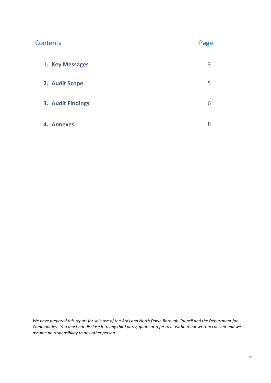| <b>Contents</b>   | Page |
|-------------------|------|
| 1. Key Messages   | 3    |
| 2. Audit Scope    | 5    |
| 3. Audit Findings | 6    |
| 4. Annexes        | 8    |

*We have prepared this report for sole use of the Ards and North Down Borough Council and the Department for Communities. You must not disclose it to any third party, quote or refer to it, without our written consent and we assume no responsibility to any other person.*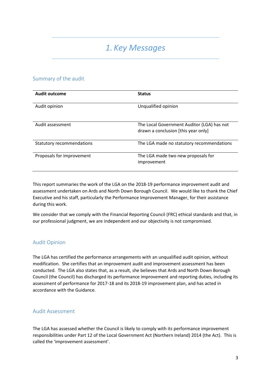## *1. Key Messages*

### Summary of the audit

| <b>Audit outcome</b>             | <b>Status</b>                                                                     |
|----------------------------------|-----------------------------------------------------------------------------------|
| Audit opinion                    | Unqualified opinion                                                               |
| Audit assessment                 | The Local Government Auditor (LGA) has not<br>drawn a conclusion [this year only] |
| <b>Statutory recommendations</b> | The LGA made no statutory recommendations                                         |
| Proposals for improvement        | The LGA made two new proposals for<br>improvement                                 |

This report summaries the work of the LGA on the 2018-19 performance improvement audit and assessment undertaken on Ards and North Down Borough Council. We would like to thank the Chief Executive and his staff, particularly the Performance Improvement Manager, for their assistance during this work.

We consider that we comply with the Financial Reporting Council (FRC) ethical standards and that, in our professional judgment, we are independent and our objectivity is not compromised.

### Audit Opinion

The LGA has certified the performance arrangements with an unqualified audit opinion, without modification. She certifies that an improvement audit and improvement assessment has been conducted. The LGA also states that, as a result, she believes that Ards and North Down Borough Council (the Council) has discharged its performance improvement and reporting duties, including its assessment of performance for 2017-18 and its 2018-19 improvement plan, and has acted in accordance with the Guidance.

### Audit Assessment

The LGA has assessed whether the Council is likely to comply with its performance improvement responsibilities under Part 12 of the Local Government Act (Northern Ireland) 2014 (the Act). This is called the 'improvement assessment'.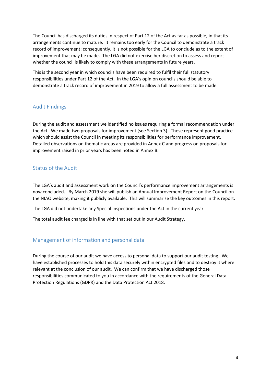The Council has discharged its duties in respect of Part 12 of the Act as far as possible, in that its arrangements continue to mature. It remains too early for the Council to demonstrate a track record of improvement: consequently, it is not possible for the LGA to conclude as to the extent of improvement that may be made. The LGA did not exercise her discretion to assess and report whether the council is likely to comply with these arrangements in future years.

This is the second year in which councils have been required to fulfil their full statutory responsibilities under Part 12 of the Act. In the LGA's opinion councils should be able to demonstrate a track record of improvement in 2019 to allow a full assessment to be made.

### Audit Findings

During the audit and assessment we identified no issues requiring a formal recommendation under the Act. We made two proposals for improvement (see Section 3). These represent good practice which should assist the Council in meeting its responsibilities for performance improvement. Detailed observations on thematic areas are provided in Annex C and progress on proposals for improvement raised in prior years has been noted in Annex B.

## Status of the Audit

The LGA's audit and assessment work on the Council's performance improvement arrangements is now concluded. By March 2019 she will publish an Annual Improvement Report on the Council on the NIAO website, making it publicly available. This will summarise the key outcomes in this report.

The LGA did not undertake any Special Inspections under the Act in the current year.

The total audit fee charged is in line with that set out in our Audit Strategy.

## Management of information and personal data

During the course of our audit we have access to personal data to support our audit testing. We have established processes to hold this data securely within encrypted files and to destroy it where relevant at the conclusion of our audit. We can confirm that we have discharged those responsibilities communicated to you in accordance with the requirements of the General Data Protection Regulations (GDPR) and the Data Protection Act 2018.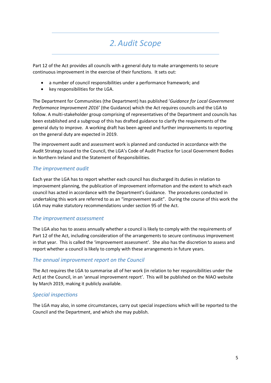## *2.Audit Scope*

Part 12 of the Act provides all councils with a general duty to make arrangements to secure continuous improvement in the exercise of their functions. It sets out:

- a number of council responsibilities under a performance framework; and
- key responsibilities for the LGA.

The Department for Communities (the Department) has published '*Guidance for Local Government Performance Improvement 2016'* (the Guidance) which the Act requires councils and the LGA to follow. A multi-stakeholder group comprising of representatives of the Department and councils has been established and a subgroup of this has drafted guidance to clarify the requirements of the general duty to improve. A working draft has been agreed and further improvements to reporting on the general duty are expected in 2019.

The improvement audit and assessment work is planned and conducted in accordance with the Audit Strategy issued to the Council, the LGA's Code of Audit Practice for Local Government Bodies in Northern Ireland and the Statement of Responsibilities.

### *The improvement audit*

Each year the LGA has to report whether each council has discharged its duties in relation to improvement planning, the publication of improvement information and the extent to which each council has acted in accordance with the Department's Guidance. The procedures conducted in undertaking this work are referred to as an "improvement audit". During the course of this work the LGA may make statutory recommendations under section 95 of the Act.

### *The improvement assessment*

The LGA also has to assess annually whether a council is likely to comply with the requirements of Part 12 of the Act, including consideration of the arrangements to secure continuous improvement in that year. This is called the 'improvement assessment'. She also has the discretion to assess and report whether a council is likely to comply with these arrangements in future years.

### *The annual improvement report on the Council*

The Act requires the LGA to summarise all of her work (in relation to her responsibilities under the Act) at the Council, in an 'annual improvement report'. This will be published on the NIAO website by March 2019, making it publicly available.

### *Special inspections*

The LGA may also, in some circumstances, carry out special inspections which will be reported to the Council and the Department, and which she may publish.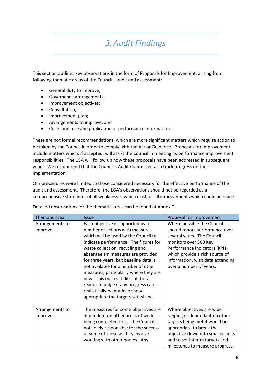# *3.Audit Findings*

This section outlines key observations in the form of Proposals for Improvement, arising from following thematic areas of the Council's audit and assessment:

- General duty to improve;
- Governance arrangements;
- Improvement objectives;
- Consultation;
- Improvement plan;
- Arrangements to improve; and
- Collection, use and publication of performance information.

These are not formal recommendations, which are more significant matters which require action to be taken by the Council in order to comply with the Act or Guidance. Proposals for Improvement include matters which, if accepted, will assist the Council in meeting its performance improvement responsibilities. The LGA will follow up how these proposals have been addressed in subsequent years. We recommend that the Council's Audit Committee also track progress on their implementation.

Our procedures were limited to those considered necessary for the effective performance of the audit and assessment. Therefore, the LGA's observations should not be regarded as a comprehensive statement of all weaknesses which exist, or all improvements which could be made.

| Thematic area              | <i><u><b>Issue</b></u></i>                                                                                                                                                                                                                                                                                                                                                                                                                                                                                  | Proposal for improvement                                                                                                                                                                                                                              |
|----------------------------|-------------------------------------------------------------------------------------------------------------------------------------------------------------------------------------------------------------------------------------------------------------------------------------------------------------------------------------------------------------------------------------------------------------------------------------------------------------------------------------------------------------|-------------------------------------------------------------------------------------------------------------------------------------------------------------------------------------------------------------------------------------------------------|
| Arrangements to<br>improve | Each objective is supported by a<br>number of actions with measures<br>which will be used by the Council to<br>indicate performance. The figures for<br>waste collection, recycling and<br>absenteeism measures are provided<br>for three years, but baseline data is<br>not available for a number of other<br>measures, particularly where they are<br>new. This makes it difficult for a<br>reader to judge if any progress can<br>realistically be made, or how<br>appropriate the targets set will be. | Where possible the Council<br>should report performance over<br>several years. The Council<br>monitors over 300 Key<br>Performance Indicators (KPIs)<br>which provide a rich source of<br>information, with data extending<br>over a number of years. |
| Arrangements to<br>improve | The measures for some objectives are<br>dependent on other areas of work<br>being completed first. The Council is<br>not solely responsible for the success<br>of some of these as they involve<br>working with other bodies. Any                                                                                                                                                                                                                                                                           | Where objectives are wide<br>ranging or dependant on other<br>targets being met it would be<br>appropriate to break the<br>objective down into smaller units<br>and to set interim targets and<br>milestones to measure progress.                     |

Detailed observations for the thematic areas can be found at Annex C.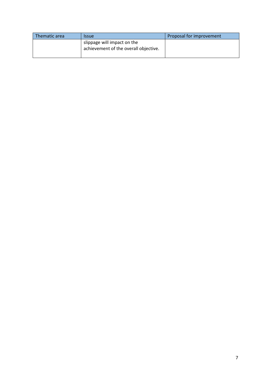| Thematic area | <b>Issue</b>                                                         | Proposal for improvement |
|---------------|----------------------------------------------------------------------|--------------------------|
|               | slippage will impact on the<br>achievement of the overall objective. |                          |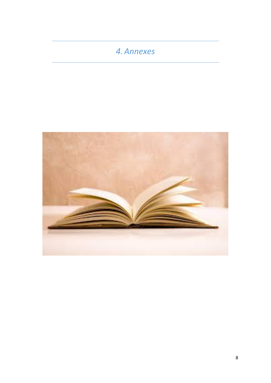## *4.Annexes*

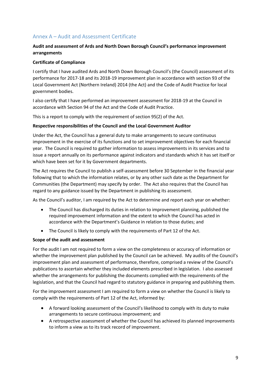## Annex A – Audit and Assessment Certificate

### **Audit and assessment of Ards and North Down Borough Council's performance improvement arrangements**

#### **Certificate of Compliance**

I certify that I have audited Ards and North Down Borough Council's (the Council) assessment of its performance for 2017-18 and its 2018-19 improvement plan in accordance with section 93 of the Local Government Act (Northern Ireland) 2014 (the Act) and the Code of Audit Practice for local government bodies.

I also certify that I have performed an improvement assessment for 2018-19 at the Council in accordance with Section 94 of the Act and the Code of Audit Practice.

This is a report to comply with the requirement of section 95(2) of the Act.

### **Respective responsibilities of the Council and the Local Government Auditor**

Under the Act, the Council has a general duty to make arrangements to secure continuous improvement in the exercise of its functions and to set improvement objectives for each financial year. The Council is required to gather information to assess improvements in its services and to issue a report annually on its performance against indicators and standards which it has set itself or which have been set for it by Government departments.

The Act requires the Council to publish a self-assessment before 30 September in the financial year following that to which the information relates, or by any other such date as the Department for Communities (the Department) may specify by order. The Act also requires that the Council has regard to any guidance issued by the Department in publishing its assessment.

As the Council's auditor, I am required by the Act to determine and report each year on whether:

- The Council has discharged its duties in relation to improvement planning, published the required improvement information and the extent to which the Council has acted in accordance with the Department's Guidance in relation to those duties; and
- The Council is likely to comply with the requirements of Part 12 of the Act.

#### **Scope of the audit and assessment**

For the audit I am not required to form a view on the completeness or accuracy of information or whether the improvement plan published by the Council can be achieved. My audits of the Council's improvement plan and assessment of performance, therefore, comprised a review of the Council's publications to ascertain whether they included elements prescribed in legislation. I also assessed whether the arrangements for publishing the documents complied with the requirements of the legislation, and that the Council had regard to statutory guidance in preparing and publishing them.

For the improvement assessment I am required to form a view on whether the Council is likely to comply with the requirements of Part 12 of the Act, informed by:

- A forward looking assessment of the Council's likelihood to comply with its duty to make arrangements to secure continuous improvement; and
- A retrospective assessment of whether the Council has achieved its planned improvements to inform a view as to its track record of improvement.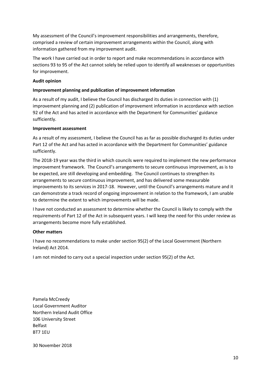My assessment of the Council's improvement responsibilities and arrangements, therefore, comprised a review of certain improvement arrangements within the Council, along with information gathered from my improvement audit.

The work I have carried out in order to report and make recommendations in accordance with sections 93 to 95 of the Act cannot solely be relied upon to identify all weaknesses or opportunities for improvement.

#### **Audit opinion**

### **Improvement planning and publication of improvement information**

As a result of my audit, I believe the Council has discharged its duties in connection with (1) improvement planning and (2) publication of improvement information in accordance with section 92 of the Act and has acted in accordance with the Department for Communities' guidance sufficiently.

#### **Improvement assessment**

As a result of my assessment, I believe the Council has as far as possible discharged its duties under Part 12 of the Act and has acted in accordance with the Department for Communities' guidance sufficiently.

The 2018-19 year was the third in which councils were required to implement the new performance improvement framework. The Council's arrangements to secure continuous improvement, as is to be expected, are still developing and embedding. The Council continues to strengthen its arrangements to secure continuous improvement, and has delivered some measurable improvements to its services in 2017-18. However, until the Council's arrangements mature and it can demonstrate a track record of ongoing improvement in relation to the framework, I am unable to determine the extent to which improvements will be made.

I have not conducted an assessment to determine whether the Council is likely to comply with the requirements of Part 12 of the Act in subsequent years. I will keep the need for this under review as arrangements become more fully established.

### **Other matters**

I have no recommendations to make under section 95(2) of the Local Government (Northern Ireland) Act 2014.

I am not minded to carry out a special inspection under section 95(2) of the Act.

Pamela McCreedy Local Government Auditor Northern Ireland Audit Office 106 University Street Belfast BT7 1EU

30 November 2018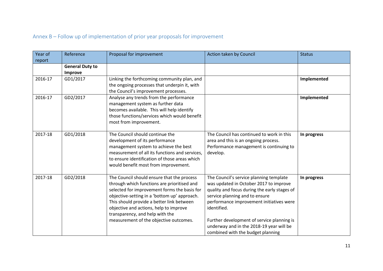## Annex B – Follow up of implementation of prior year proposals for improvement

| Year of | Reference                         | Proposal for improvement                                                                                                                                                                                                                                                                                                                                      | Action taken by Council                                                                                                                                                                                                                                                                                                                                       | <b>Status</b> |
|---------|-----------------------------------|---------------------------------------------------------------------------------------------------------------------------------------------------------------------------------------------------------------------------------------------------------------------------------------------------------------------------------------------------------------|---------------------------------------------------------------------------------------------------------------------------------------------------------------------------------------------------------------------------------------------------------------------------------------------------------------------------------------------------------------|---------------|
| report  |                                   |                                                                                                                                                                                                                                                                                                                                                               |                                                                                                                                                                                                                                                                                                                                                               |               |
|         | <b>General Duty to</b><br>Improve |                                                                                                                                                                                                                                                                                                                                                               |                                                                                                                                                                                                                                                                                                                                                               |               |
| 2016-17 | GD1/2017                          | Linking the forthcoming community plan, and<br>the ongoing processes that underpin it, with<br>the Council's improvement processes.                                                                                                                                                                                                                           |                                                                                                                                                                                                                                                                                                                                                               | Implemented   |
| 2016-17 | GD2/2017                          | Analyse any trends from the performance<br>management system as further data<br>becomes available. This will help identify<br>those functions/services which would benefit<br>most from improvement.                                                                                                                                                          |                                                                                                                                                                                                                                                                                                                                                               | Implemented   |
| 2017-18 | GD1/2018                          | The Council should continue the<br>development of its performance<br>management system to achieve the best<br>measurement of all its functions and services,<br>to ensure identification of those areas which<br>would benefit most from improvement.                                                                                                         | The Council has continued to work in this<br>area and this is an ongoing process.<br>Performance management is continuing to<br>develop.                                                                                                                                                                                                                      | In progress   |
| 2017-18 | GD2/2018                          | The Council should ensure that the process<br>through which functions are prioritised and<br>selected for improvement forms the basis for<br>objective-setting in a 'bottom up' approach.<br>This should provide a better link between<br>objective and actions, help to improve<br>transparency, and help with the<br>measurement of the objective outcomes. | The Council's service planning template<br>was updated in October 2017 to improve<br>quality and focus during the early stages of<br>service planning and to ensure<br>performance improvement initiatives were<br>identified.<br>Further development of service planning is<br>underway and in the 2018-19 year will be<br>combined with the budget planning | In progress   |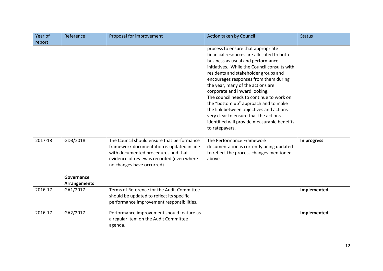| Year of | Reference                         | Proposal for improvement                                                                                                                                                                                    | Action taken by Council                                                                                                                                                                                                                                                                                                                                                                                                                                                                                                                                              | <b>Status</b> |
|---------|-----------------------------------|-------------------------------------------------------------------------------------------------------------------------------------------------------------------------------------------------------------|----------------------------------------------------------------------------------------------------------------------------------------------------------------------------------------------------------------------------------------------------------------------------------------------------------------------------------------------------------------------------------------------------------------------------------------------------------------------------------------------------------------------------------------------------------------------|---------------|
| report  |                                   |                                                                                                                                                                                                             |                                                                                                                                                                                                                                                                                                                                                                                                                                                                                                                                                                      |               |
|         |                                   |                                                                                                                                                                                                             | process to ensure that appropriate<br>financial resources are allocated to both<br>business as usual and performance<br>initiatives. While the Council consults with<br>residents and stakeholder groups and<br>encourages responses from them during<br>the year, many of the actions are<br>corporate and inward looking.<br>The council needs to continue to work on<br>the "bottom up" approach and to make<br>the link between objectives and actions<br>very clear to ensure that the actions<br>identified will provide measurable benefits<br>to ratepayers. |               |
| 2017-18 | GD3/2018                          | The Council should ensure that performance<br>framework documentation is updated in line<br>with documented procedures and that<br>evidence of review is recorded (even where<br>no changes have occurred). | The Performance Framework<br>documentation is currently being updated<br>to reflect the process changes mentioned<br>above.                                                                                                                                                                                                                                                                                                                                                                                                                                          | In progress   |
|         | Governance<br><b>Arrangements</b> |                                                                                                                                                                                                             |                                                                                                                                                                                                                                                                                                                                                                                                                                                                                                                                                                      |               |
| 2016-17 | GA1/2017                          | Terms of Reference for the Audit Committee<br>should be updated to reflect its specific<br>performance improvement responsibilities.                                                                        |                                                                                                                                                                                                                                                                                                                                                                                                                                                                                                                                                                      | Implemented   |
| 2016-17 | GA2/2017                          | Performance improvement should feature as<br>a regular item on the Audit Committee<br>agenda.                                                                                                               |                                                                                                                                                                                                                                                                                                                                                                                                                                                                                                                                                                      | Implemented   |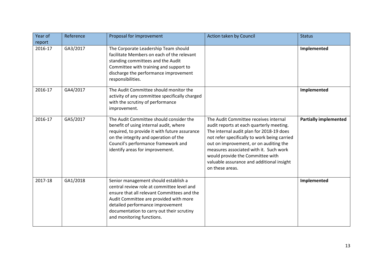| Year of<br>report | Reference | Proposal for improvement                                                                                                                                                                                                                                                                  | Action taken by Council                                                                                                                                                                                                                                                                                                                                               | <b>Status</b>                |
|-------------------|-----------|-------------------------------------------------------------------------------------------------------------------------------------------------------------------------------------------------------------------------------------------------------------------------------------------|-----------------------------------------------------------------------------------------------------------------------------------------------------------------------------------------------------------------------------------------------------------------------------------------------------------------------------------------------------------------------|------------------------------|
| 2016-17           | GA3/2017  | The Corporate Leadership Team should<br>facilitate Members on each of the relevant<br>standing committees and the Audit<br>Committee with training and support to<br>discharge the performance improvement<br>responsibilities.                                                           |                                                                                                                                                                                                                                                                                                                                                                       | Implemented                  |
| 2016-17           | GA4/2017  | The Audit Committee should monitor the<br>activity of any committee specifically charged<br>with the scrutiny of performance<br>improvement.                                                                                                                                              |                                                                                                                                                                                                                                                                                                                                                                       | Implemented                  |
| 2016-17           | GA5/2017  | The Audit Committee should consider the<br>benefit of using internal audit, where<br>required, to provide it with future assurance<br>on the integrity and operation of the<br>Council's performance framework and<br>identify areas for improvement.                                     | The Audit Committee receives internal<br>audit reports at each quarterly meeting.<br>The internal audit plan for 2018-19 does<br>not refer specifically to work being carried<br>out on improvement, or on auditing the<br>measures associated with it. Such work<br>would provide the Committee with<br>valuable assurance and additional insight<br>on these areas. | <b>Partially implemented</b> |
| 2017-18           | GA1/2018  | Senior management should establish a<br>central review role at committee level and<br>ensure that all relevant Committees and the<br>Audit Committee are provided with more<br>detailed performance improvement<br>documentation to carry out their scrutiny<br>and monitoring functions. |                                                                                                                                                                                                                                                                                                                                                                       | Implemented                  |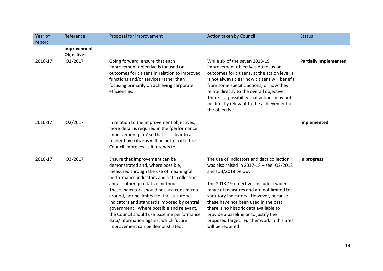| Year of | Reference         | Proposal for improvement                                                                                                                                                                                                                                                                                                                                                                                                                                                                                            | Action taken by Council                                                                                                                                                                                                                                                                                                                                                                                                                     | <b>Status</b>                |
|---------|-------------------|---------------------------------------------------------------------------------------------------------------------------------------------------------------------------------------------------------------------------------------------------------------------------------------------------------------------------------------------------------------------------------------------------------------------------------------------------------------------------------------------------------------------|---------------------------------------------------------------------------------------------------------------------------------------------------------------------------------------------------------------------------------------------------------------------------------------------------------------------------------------------------------------------------------------------------------------------------------------------|------------------------------|
| report  |                   |                                                                                                                                                                                                                                                                                                                                                                                                                                                                                                                     |                                                                                                                                                                                                                                                                                                                                                                                                                                             |                              |
|         | Improvement       |                                                                                                                                                                                                                                                                                                                                                                                                                                                                                                                     |                                                                                                                                                                                                                                                                                                                                                                                                                                             |                              |
|         | <b>Objectives</b> |                                                                                                                                                                                                                                                                                                                                                                                                                                                                                                                     |                                                                                                                                                                                                                                                                                                                                                                                                                                             |                              |
| 2016-17 | 101/2017          | Going forward, ensure that each<br>improvement objective is focused on<br>outcomes for citizens in relation to improved<br>functions and/or services rather than<br>focusing primarily on achieving corporate<br>efficiencies.                                                                                                                                                                                                                                                                                      | While six of the seven 2018-19<br>improvement objectives do focus on<br>outcomes for citizens, at the action level it<br>is not always clear how citizens will benefit<br>from some specific actions, or how they<br>relate directly to the overall objective.<br>There is a possibility that actions may not<br>be directly relevant to the achievement of<br>the objective.                                                               | <b>Partially implemented</b> |
| 2016-17 | 102/2017          | In relation to the improvement objectives,<br>more detail is required in the 'performance<br>improvement plan' so that it is clear to a<br>reader how citizens will be better off if the<br>Council improves as it intends to.                                                                                                                                                                                                                                                                                      |                                                                                                                                                                                                                                                                                                                                                                                                                                             | Implemented                  |
| 2016-17 | 103/2017          | Ensure that improvement can be<br>demonstrated and, where possible,<br>measured through the use of meaningful<br>performance indicators and data collection<br>and/or other qualitative methods.<br>These indicators should not just concentrate<br>around, nor be limited to, the statutory<br>indicators and standards imposed by central<br>government. Where possible and relevant,<br>the Council should use baseline performance<br>data/information against which future<br>improvement can be demonstrated. | The use of indicators and data collection<br>was also raised in 2017-18 - see IO2/2018<br>and IO3/2018 below.<br>The 2018-19 objectives include a wider<br>range of measures and are not limited to<br>statutory indicators. However, because<br>these have not been used in the past,<br>there is no historic data available to<br>provide a baseline or to justify the<br>proposed target. Further work in this area<br>will be required. | In progress                  |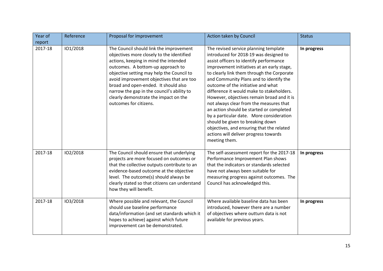| Year of | Reference | Proposal for improvement                                                                                                                                                                                                                                                                                                                                                                                              | Action taken by Council                                                                                                                                                                                                                                                                                                                                                                                                                                                                                                                                                                                                                                                          | <b>Status</b> |
|---------|-----------|-----------------------------------------------------------------------------------------------------------------------------------------------------------------------------------------------------------------------------------------------------------------------------------------------------------------------------------------------------------------------------------------------------------------------|----------------------------------------------------------------------------------------------------------------------------------------------------------------------------------------------------------------------------------------------------------------------------------------------------------------------------------------------------------------------------------------------------------------------------------------------------------------------------------------------------------------------------------------------------------------------------------------------------------------------------------------------------------------------------------|---------------|
| report  |           |                                                                                                                                                                                                                                                                                                                                                                                                                       |                                                                                                                                                                                                                                                                                                                                                                                                                                                                                                                                                                                                                                                                                  |               |
| 2017-18 | 101/2018  | The Council should link the improvement<br>objectives more closely to the identified<br>actions, keeping in mind the intended<br>outcomes. A bottom-up approach to<br>objective setting may help the Council to<br>avoid improvement objectives that are too<br>broad and open-ended. It should also<br>narrow the gap in the council's ability to<br>clearly demonstrate the impact on the<br>outcomes for citizens. | The revised service planning template<br>introduced for 2018-19 was designed to<br>assist officers to identify performance<br>improvement initiatives at an early stage,<br>to clearly link them through the Corporate<br>and Community Plans and to identify the<br>outcome of the initiative and what<br>difference it would make to stakeholders.<br>However, objectives remain broad and it is<br>not always clear from the measures that<br>an action should be started or completed<br>by a particular date. More consideration<br>should be given to breaking down<br>objectives, and ensuring that the related<br>actions will deliver progress towards<br>meeting them. | In progress   |
| 2017-18 | 102/2018  | The Council should ensure that underlying<br>projects are more focused on outcomes or<br>that the collective outputs contribute to an<br>evidence-based outcome at the objective<br>level. The outcome(s) should always be<br>clearly stated so that citizens can understand<br>how they will benefit.                                                                                                                | The self-assessment report for the 2017-18<br>Performance Improvement Plan shows<br>that the indicators or standards selected<br>have not always been suitable for<br>measuring progress against outcomes. The<br>Council has acknowledged this.                                                                                                                                                                                                                                                                                                                                                                                                                                 | In progress   |
| 2017-18 | 103/2018  | Where possible and relevant, the Council<br>should use baseline performance<br>data/information (and set standards which it<br>hopes to achieve) against which future<br>improvement can be demonstrated.                                                                                                                                                                                                             | Where available baseline data has been<br>introduced, however there are a number<br>of objectives where outturn data is not<br>available for previous years.                                                                                                                                                                                                                                                                                                                                                                                                                                                                                                                     | In progress   |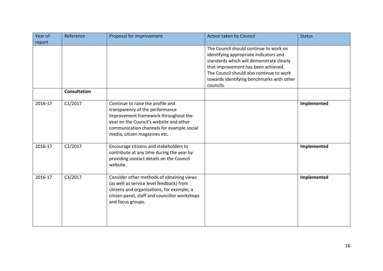| Year of | Reference           | Proposal for improvement                                                                                                                                                                                                              | Action taken by Council                                                                                                                                                                                                                                                   | <b>Status</b> |
|---------|---------------------|---------------------------------------------------------------------------------------------------------------------------------------------------------------------------------------------------------------------------------------|---------------------------------------------------------------------------------------------------------------------------------------------------------------------------------------------------------------------------------------------------------------------------|---------------|
| report  |                     |                                                                                                                                                                                                                                       |                                                                                                                                                                                                                                                                           |               |
|         |                     |                                                                                                                                                                                                                                       | The Council should continue to work on<br>identifying appropriate indicators and<br>standards which will demonstrate clearly<br>that improvement has been achieved.<br>The Council should also continue to work<br>towards identifying benchmarks with other<br>councils. |               |
|         | <b>Consultation</b> |                                                                                                                                                                                                                                       |                                                                                                                                                                                                                                                                           |               |
| 2016-17 | C1/2017             | Continue to raise the profile and<br>transparency of the performance<br>improvement framework throughout the<br>year on the Council's website and other<br>communication channels for example social<br>media, citizen magazines etc. |                                                                                                                                                                                                                                                                           | Implemented   |
| 2016-17 | C2/2017             | Encourage citizens and stakeholders to<br>contribute at any time during the year by<br>providing contact details on the Council<br>website.                                                                                           |                                                                                                                                                                                                                                                                           | Implemented   |
| 2016-17 | C3/2017             | Consider other methods of obtaining views<br>(as well as service level feedback) from<br>citizens and organisations, for example, a<br>citizen panel, staff and councillor workshops<br>and focus groups.                             |                                                                                                                                                                                                                                                                           | Implemented   |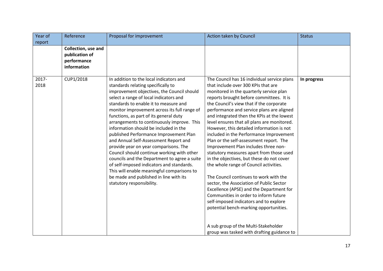| Year of<br>Reference                                                | Proposal for improvement                                                                                                                                                                                                                                                                                                                                                                                                                                                                                                                                                                                                                                                                                                                                                                    | Action taken by Council                                                                                                                                                                                                                                                                                                                                                                                                                                                                                                                                                                                                                                                                                                                                                                                                                                                                                                                                                                                                            | <b>Status</b> |
|---------------------------------------------------------------------|---------------------------------------------------------------------------------------------------------------------------------------------------------------------------------------------------------------------------------------------------------------------------------------------------------------------------------------------------------------------------------------------------------------------------------------------------------------------------------------------------------------------------------------------------------------------------------------------------------------------------------------------------------------------------------------------------------------------------------------------------------------------------------------------|------------------------------------------------------------------------------------------------------------------------------------------------------------------------------------------------------------------------------------------------------------------------------------------------------------------------------------------------------------------------------------------------------------------------------------------------------------------------------------------------------------------------------------------------------------------------------------------------------------------------------------------------------------------------------------------------------------------------------------------------------------------------------------------------------------------------------------------------------------------------------------------------------------------------------------------------------------------------------------------------------------------------------------|---------------|
| report                                                              |                                                                                                                                                                                                                                                                                                                                                                                                                                                                                                                                                                                                                                                                                                                                                                                             |                                                                                                                                                                                                                                                                                                                                                                                                                                                                                                                                                                                                                                                                                                                                                                                                                                                                                                                                                                                                                                    |               |
| Collection, use and<br>publication of<br>performance<br>information |                                                                                                                                                                                                                                                                                                                                                                                                                                                                                                                                                                                                                                                                                                                                                                                             |                                                                                                                                                                                                                                                                                                                                                                                                                                                                                                                                                                                                                                                                                                                                                                                                                                                                                                                                                                                                                                    |               |
| CUP1/2018<br>2017-<br>2018                                          | In addition to the local indicators and<br>standards relating specifically to<br>improvement objectives, the Council should<br>select a range of local indicators and<br>standards to enable it to measure and<br>monitor improvement across its full range of<br>functions, as part of its general duty<br>arrangements to continuously improve. This<br>information should be included in the<br>published Performance Improvement Plan<br>and Annual Self-Assessment Report and<br>provide year on year comparisons. The<br>Council should continue working with other<br>councils and the Department to agree a suite<br>of self-imposed indicators and standards.<br>This will enable meaningful comparisons to<br>be made and published in line with its<br>statutory responsibility. | The Council has 16 individual service plans<br>that include over 300 KPIs that are<br>monitored in the quarterly service plan<br>reports brought before committees. It is<br>the Council's view that if the corporate<br>performance and service plans are aligned<br>and integrated then the KPIs at the lowest<br>level ensures that all plans are monitored.<br>However, this detailed information is not<br>included in the Performance Improvement<br>Plan or the self-assessment report. The<br>Improvement Plan includes three non-<br>statutory measures apart from those used<br>in the objectives, but these do not cover<br>the whole range of Council activities.<br>The Council continues to work with the<br>sector, the Association of Public Sector<br>Excellence (APSE) and the Department for<br>Communities in order to inform future<br>self-imposed indicators and to explore<br>potential bench-marking opportunities.<br>A sub group of the Multi-Stakeholder<br>group was tasked with drafting guidance to | In progress   |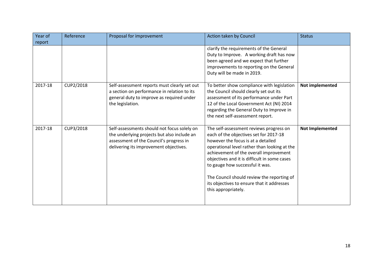| Year of<br>report | Reference | Proposal for improvement                                                                                                                                                        | Action taken by Council                                                                                                                                                                                                                                                                                                                                                                                                 | <b>Status</b>          |
|-------------------|-----------|---------------------------------------------------------------------------------------------------------------------------------------------------------------------------------|-------------------------------------------------------------------------------------------------------------------------------------------------------------------------------------------------------------------------------------------------------------------------------------------------------------------------------------------------------------------------------------------------------------------------|------------------------|
|                   |           |                                                                                                                                                                                 | clarify the requirements of the General<br>Duty to Improve. A working draft has now<br>been agreed and we expect that further<br>improvements to reporting on the General<br>Duty will be made in 2019.                                                                                                                                                                                                                 |                        |
| 2017-18           | CUP2/2018 | Self-assessment reports must clearly set out<br>a section on performance in relation to its<br>general duty to improve as required under<br>the legislation.                    | To better show compliance with legislation<br>the Council should clearly set out its<br>assessment of its performance under Part<br>12 of the Local Government Act (NI) 2014<br>regarding the General Duty to Improve in<br>the next self-assessment report.                                                                                                                                                            | Not implemented        |
| 2017-18           | CUP3/2018 | Self-assessments should not focus solely on<br>the underlying projects but also include an<br>assessment of the Council's progress in<br>delivering its improvement objectives. | The self-assessment reviews progress on<br>each of the objectives set for 2017-18<br>however the focus is at a detailed<br>operational level rather than looking at the<br>achievement of the overall improvement<br>objectives and it is difficult in some cases<br>to gauge how successful it was.<br>The Council should review the reporting of<br>its objectives to ensure that it addresses<br>this appropriately. | <b>Not Implemented</b> |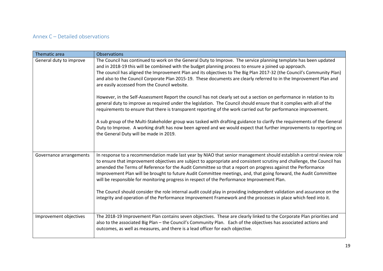## Annex C – Detailed observations

| Thematic area           | <b>Observations</b>                                                                                                                                                                                                                                                                                                                                                                                                                                                                                                                                                                                                                                                                                                                                                                                                              |
|-------------------------|----------------------------------------------------------------------------------------------------------------------------------------------------------------------------------------------------------------------------------------------------------------------------------------------------------------------------------------------------------------------------------------------------------------------------------------------------------------------------------------------------------------------------------------------------------------------------------------------------------------------------------------------------------------------------------------------------------------------------------------------------------------------------------------------------------------------------------|
| General duty to improve | The Council has continued to work on the General Duty to Improve. The service planning template has been updated<br>and in 2018-19 this will be combined with the budget planning process to ensure a joined up approach.<br>The council has aligned the Improvement Plan and its objectives to The Big Plan 2017-32 (the Council's Community Plan)<br>and also to the Council Corporate Plan 2015-19. These documents are clearly referred to in the Improvement Plan and<br>are easily accessed from the Council website.                                                                                                                                                                                                                                                                                                      |
|                         | However, in the Self-Assessment Report the council has not clearly set out a section on performance in relation to its<br>general duty to improve as required under the legislation. The Council should ensure that it complies with all of the<br>requirements to ensure that there is transparent reporting of the work carried out for performance improvement.                                                                                                                                                                                                                                                                                                                                                                                                                                                               |
|                         | A sub group of the Multi-Stakeholder group was tasked with drafting guidance to clarify the requirements of the General<br>Duty to Improve. A working draft has now been agreed and we would expect that further improvements to reporting on<br>the General Duty will be made in 2019.                                                                                                                                                                                                                                                                                                                                                                                                                                                                                                                                          |
| Governance arrangements | In response to a recommendation made last year by NIAO that senior management should establish a central review role<br>to ensure that improvement objectives are subject to appropriate and consistent scrutiny and challenge, the Council has<br>amended the Terms of Reference for the Audit Committee so that a report on progress against the Performance<br>Improvement Plan will be brought to future Audit Committee meetings, and, that going forward, the Audit Committee<br>will be responsible for monitoring progress in respect of the Performance Improvement Plan.<br>The Council should consider the role internal audit could play in providing independent validation and assurance on the<br>integrity and operation of the Performance Improvement Framework and the processes in place which feed into it. |
| Improvement objectives  | The 2018-19 Improvement Plan contains seven objectives. These are clearly linked to the Corporate Plan priorities and<br>also to the associated Big Plan - the Council's Community Plan. Each of the objectives has associated actions and<br>outcomes, as well as measures, and there is a lead officer for each objective.                                                                                                                                                                                                                                                                                                                                                                                                                                                                                                     |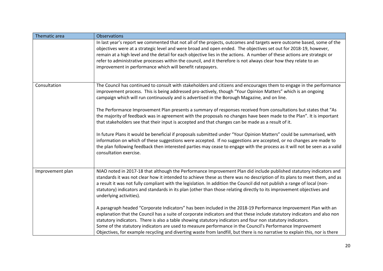| Thematic area    | <b>Observations</b>                                                                                                                                                                                                                                                                                                                                                                                                                                                                                                                                                                                      |
|------------------|----------------------------------------------------------------------------------------------------------------------------------------------------------------------------------------------------------------------------------------------------------------------------------------------------------------------------------------------------------------------------------------------------------------------------------------------------------------------------------------------------------------------------------------------------------------------------------------------------------|
|                  | In last year's report we commented that not all of the projects, outcomes and targets were outcome based, some of the<br>objectives were at a strategic level and were broad and open ended. The objectives set out for 2018-19, however,<br>remain at a high level and the detail for each objective lies in the actions. A number of these actions are strategic or<br>refer to administrative processes within the council, and it therefore is not always clear how they relate to an<br>improvement in performance which will benefit ratepayers.                                                   |
| Consultation     | The Council has continued to consult with stakeholders and citizens and encourages them to engage in the performance<br>improvement process. This is being addressed pro-actively, though "Your Opinion Matters" which is an ongoing<br>campaign which will run continuously and is advertised in the Borough Magazine, and on line.                                                                                                                                                                                                                                                                     |
|                  | The Performance Improvement Plan presents a summary of responses received from consultations but states that "As<br>the majority of feedback was in agreement with the proposals no changes have been made to the Plan". It is important<br>that stakeholders see that their input is accepted and that changes can be made as a result of it.                                                                                                                                                                                                                                                           |
|                  | In future Plans it would be beneficial if proposals submitted under "Your Opinion Matters" could be summarised, with<br>information on which of these suggestions were accepted. If no suggestions are accepted, or no changes are made to<br>the plan following feedback then interested parties may cease to engage with the process as it will not be seen as a valid<br>consultation exercise.                                                                                                                                                                                                       |
| Improvement plan | NIAO noted in 2017-18 that although the Performance Improvement Plan did include published statutory indicators and<br>standards it was not clear how it intended to achieve these as there was no description of its plans to meet them, and as<br>a result it was not fully compliant with the legislation. In addition the Council did not publish a range of local (non-<br>statutory) indicators and standards in its plan (other than those relating directly to its improvement objectives and<br>underlying activities).                                                                         |
|                  | A paragraph headed "Corporate Indicators" has been included in the 2018-19 Performance Improvement Plan with an<br>explanation that the Council has a suite of corporate indicators and that these include statutory indicators and also non<br>statutory indicators. There is also a table showing statutory indicators and four non statutory indicators.<br>Some of the statutory indicators are used to measure performance in the Council's Performance Improvement<br>Objectives, for example recycling and diverting waste from landfill, but there is no narrative to explain this, nor is there |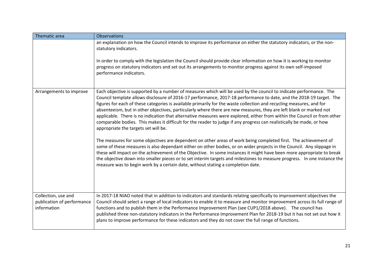| Thematic area                                                    | <b>Observations</b>                                                                                                                                                                                                                                                                                                                                                                                                                                                                                                                                                                                                                                                                                                                                                                 |
|------------------------------------------------------------------|-------------------------------------------------------------------------------------------------------------------------------------------------------------------------------------------------------------------------------------------------------------------------------------------------------------------------------------------------------------------------------------------------------------------------------------------------------------------------------------------------------------------------------------------------------------------------------------------------------------------------------------------------------------------------------------------------------------------------------------------------------------------------------------|
|                                                                  | an explanation on how the Council intends to improve its performance on either the statutory indicators, or the non-<br>statutory indicators.                                                                                                                                                                                                                                                                                                                                                                                                                                                                                                                                                                                                                                       |
|                                                                  | In order to comply with the legislation the Council should provide clear information on how it is working to monitor<br>progress on statutory indicators and set out its arrangements to monitor progress against its own self-imposed<br>performance indicators.                                                                                                                                                                                                                                                                                                                                                                                                                                                                                                                   |
| Arrangements to improve                                          | Each objective is supported by a number of measures which will be used by the council to indicate performance. The<br>Council template allows disclosure of 2016-17 performance, 2017-18 performance to date, and the 2018-19 target. The<br>figures for each of these categories is available primarily for the waste collection and recycling measures, and for<br>absenteeism, but in other objectives, particularly where there are new measures, they are left blank or marked not<br>applicable. There is no indication that alternative measures were explored, either from within the Council or from other<br>comparable bodies. This makes it difficult for the reader to judge if any progress can realistically be made, or how<br>appropriate the targets set will be. |
|                                                                  | The measures for some objectives are dependent on other areas of work being completed first. The achievement of<br>some of these measures is also dependant either on other bodies, or on wider projects in the Council. Any slippage in<br>these will impact on the achievement of the Objective. In some instances it might have been more appropriate to break<br>the objective down into smaller pieces or to set interim targets and milestones to measure progress. In one instance the<br>measure was to begin work by a certain date, without stating a completion date.                                                                                                                                                                                                    |
| Collection, use and<br>publication of performance<br>information | In 2017-18 NIAO noted that in addition to indicators and standards relating specifically to improvement objectives the<br>Council should select a range of local indicators to enable it to measure and monitor improvement across its full range of<br>functions and to publish them in the Performance Improvement Plan (see CUP1/2018 above). The council has<br>published three non-statutory indicators in the Performance Improvement Plan for 2018-19 but it has not set out how it<br>plans to improve performance for these indicators and they do not cover the full range of functions.                                                                                                                                                                                  |